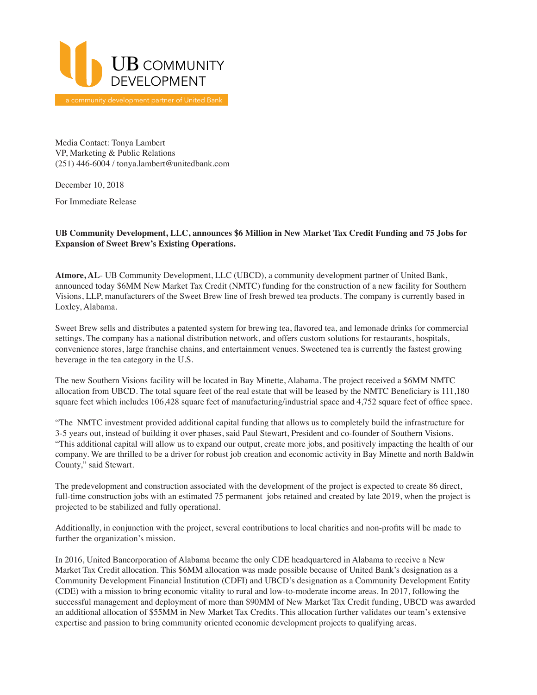

Media Contact: Tonya Lambert VP, Marketing & Public Relations (251) 446-6004 / tonya.lambert@unitedbank.com

December 10, 2018

For Immediate Release

**UB Community Development, LLC, announces \$6 Million in New Market Tax Credit Funding and 75 Jobs for Expansion of Sweet Brew's Existing Operations.**

**Atmore, AL**- UB Community Development, LLC (UBCD), a community development partner of United Bank, announced today \$6MM New Market Tax Credit (NMTC) funding for the construction of a new facility for Southern Visions, LLP, manufacturers of the Sweet Brew line of fresh brewed tea products. The company is currently based in Loxley, Alabama.

Sweet Brew sells and distributes a patented system for brewing tea, flavored tea, and lemonade drinks for commercial settings. The company has a national distribution network, and offers custom solutions for restaurants, hospitals, convenience stores, large franchise chains, and entertainment venues. Sweetened tea is currently the fastest growing beverage in the tea category in the U.S.

The new Southern Visions facility will be located in Bay Minette, Alabama. The project received a \$6MM NMTC allocation from UBCD. The total square feet of the real estate that will be leased by the NMTC Beneficiary is 111,180 square feet which includes 106,428 square feet of manufacturing/industrial space and 4,752 square feet of office space.

"The NMTC investment provided additional capital funding that allows us to completely build the infrastructure for 3-5 years out, instead of building it over phases, said Paul Stewart, President and co-founder of Southern Visions. "This additional capital will allow us to expand our output, create more jobs, and positively impacting the health of our company. We are thrilled to be a driver for robust job creation and economic activity in Bay Minette and north Baldwin County," said Stewart.

The predevelopment and construction associated with the development of the project is expected to create 86 direct, full-time construction jobs with an estimated 75 permanent jobs retained and created by late 2019, when the project is projected to be stabilized and fully operational.

Additionally, in conjunction with the project, several contributions to local charities and non-profits will be made to further the organization's mission.

In 2016, United Bancorporation of Alabama became the only CDE headquartered in Alabama to receive a New Market Tax Credit allocation. This \$6MM allocation was made possible because of United Bank's designation as a Community Development Financial Institution (CDFI) and UBCD's designation as a Community Development Entity (CDE) with a mission to bring economic vitality to rural and low-to-moderate income areas. In 2017, following the successful management and deployment of more than \$90MM of New Market Tax Credit funding, UBCD was awarded an additional allocation of \$55MM in New Market Tax Credits. This allocation further validates our team's extensive expertise and passion to bring community oriented economic development projects to qualifying areas.